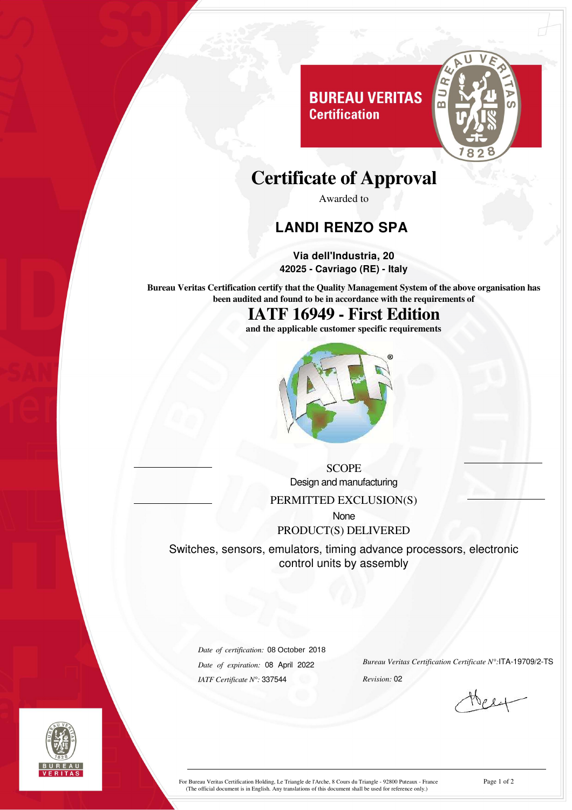

# **Certificate of Approval**

**Certification** 

Awarded to

### **LANDI RENZO SPA**

**Via dell'Industria, 20 42025 - Cavriago (RE) - Italy**

**Bureau Veritas Certification certify that the Quality Management System of the above organisation has been audited and found to be in accordance with the requirements of**

**IATF 16949 - First Edition**

**and the applicable customer specific requirements**



**SCOPE** Design and manufacturing PERMITTED EXCLUSION(S) None PRODUCT(S) DELIVERED

Switches, sensors, emulators, timing advance processors, electronic control units by assembly

*Date of certification:* 08 October 2018 *Date of expiration:* 08 April 2022 *IATF Certificate N°:* 337544

*Bureau Veritas Certification Certificate N°:*ITA-19709/2-TS

*Revision:* 02



For Bureau Veritas Certification Holding, Le Triangle de l'Arche, 8 Cours du Triangle - 92800 Puteaux - France<br>(The official document is in English. Any translations of this document shall be used for reference only.)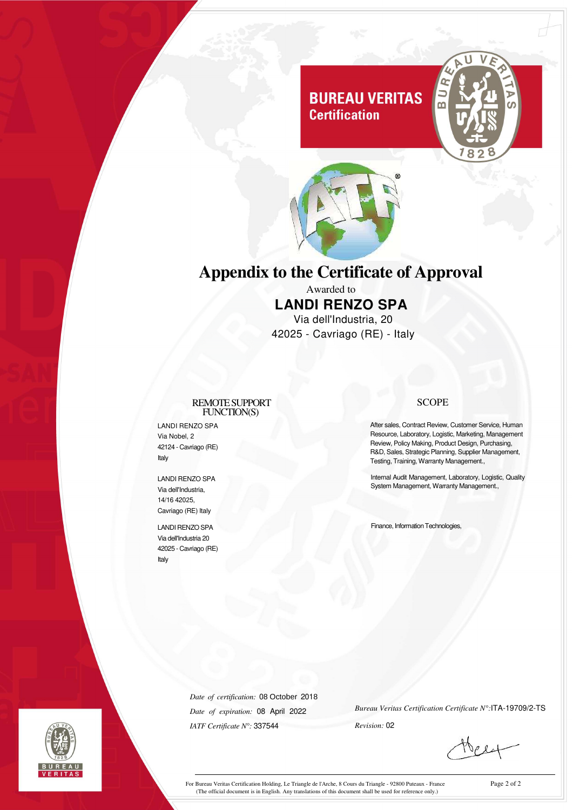### **BUREAU VERITAS Certification**





## **Appendix to the Certificate of Approval**

Awarded to **LANDI RENZO SPA** Via dell'Industria, 20 42025 - Cavriago (RE) - Italy

#### REMOTESUPPORT FUNCTION(S)

LANDI RENZO SPA Via Nobel, 2 42124 - Cavriago (RE) Italy

LANDI RENZO SPA Via dell'Industria, 14/16 42025, Cavriago (RE) Italy

LANDI RENZO SPA Via dell'Industria 20 42025 - Cavriago (RE) Italy

#### **SCOPE**

After sales, Contract Review, Customer Service, Human Resource, Laboratory, Logistic, Marketing, Management Review, Policy Making, Product Design, Purchasing, R&D, Sales, Strategic Planning, Supplier Management, Testing, Training, Warranty Management.,

Internal Audit Management, Laboratory, Logistic, Quality System Management, Warranty Management.,

Finance, Information Technologies,





*Date of certification:* 08 October 2018 *Date of expiration:* 08 April 2022 *IATF Certificate N°:* 337544

*Bureau Veritas Certification Certificate N°:*ITA-19709/2-TS *Revision:* 02

For Bureau Veritas Certification Holding, Le Triangle de l'Arche, 8 Cours du Triangle - 92800 Puteaux - France<br>(The official document is in English. Any translations of this document shall be used for reference only.)